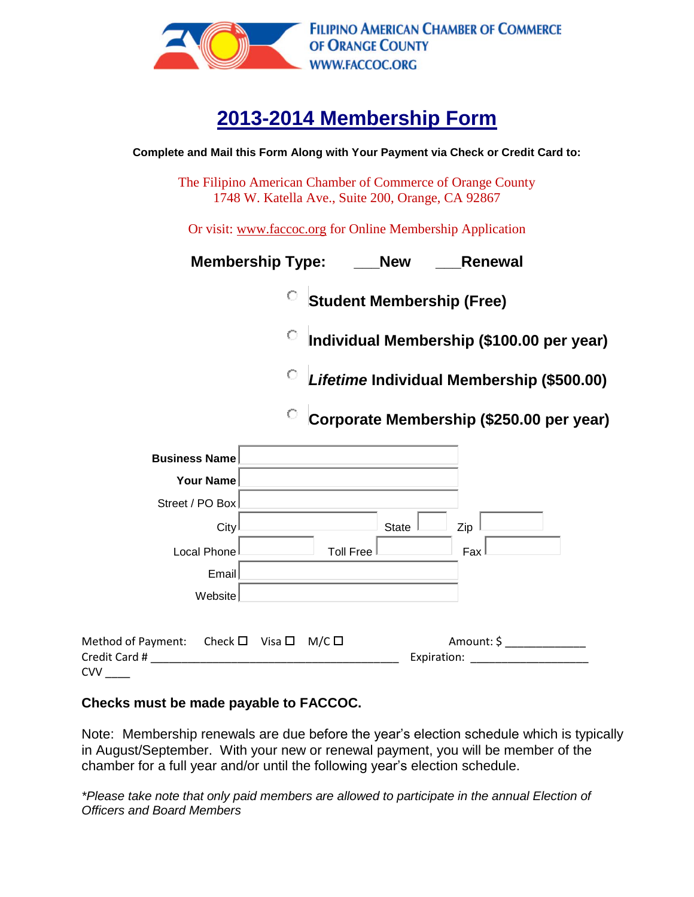

# **2013-2014 Membership Form**

**Complete and Mail this Form Along with Your Payment via Check or Credit Card to:**

The Filipino American Chamber of Commerce of Orange County 1748 W. Katella Ave., Suite 200, Orange, CA 92867

Or visit: [www.faccoc.org](http://www.faccoc.org/) for Online Membership Application

|                                                                            | Membership Type: ___New |                  |             | <b>Renewal</b>                            |
|----------------------------------------------------------------------------|-------------------------|------------------|-------------|-------------------------------------------|
| О<br><b>Student Membership (Free)</b>                                      |                         |                  |             |                                           |
| О<br>Individual Membership (\$100.00 per year)                             |                         |                  |             |                                           |
|                                                                            |                         |                  |             | Lifetime Individual Membership (\$500.00) |
|                                                                            | О                       |                  |             | Corporate Membership (\$250.00 per year)  |
| <b>Business Name</b>                                                       |                         |                  |             |                                           |
| <b>Your Name</b>                                                           |                         |                  |             |                                           |
| Street / PO Box                                                            |                         |                  |             |                                           |
| City                                                                       |                         | <b>State</b>     | Zip         |                                           |
| Local Phone                                                                |                         | <b>Toll Free</b> | Fax         |                                           |
| Email                                                                      |                         |                  |             |                                           |
| Website                                                                    |                         |                  |             |                                           |
|                                                                            |                         |                  |             |                                           |
| Method of Payment: Check $\Box$ Visa $\Box$<br>Credit Card #<br><b>CVV</b> | $M/C \square$           |                  | Expiration: |                                           |

## **Checks must be made payable to FACCOC.**

Note: Membership renewals are due before the year's election schedule which is typically in August/September. With your new or renewal payment, you will be member of the chamber for a full year and/or until the following year's election schedule.

*\*Please take note that only paid members are allowed to participate in the annual Election of Officers and Board Members*